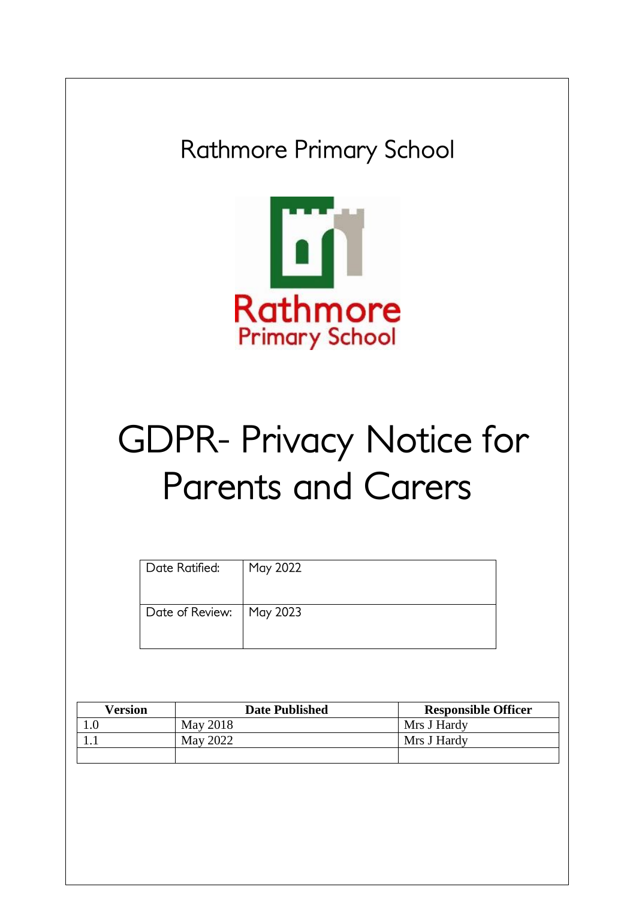

| Version | <b>Date Published</b> | <b>Responsible Officer</b> |
|---------|-----------------------|----------------------------|
|         | May 2018              | Mrs J Hardy                |
|         | May 2022              | Mrs J Hardy                |
|         |                       |                            |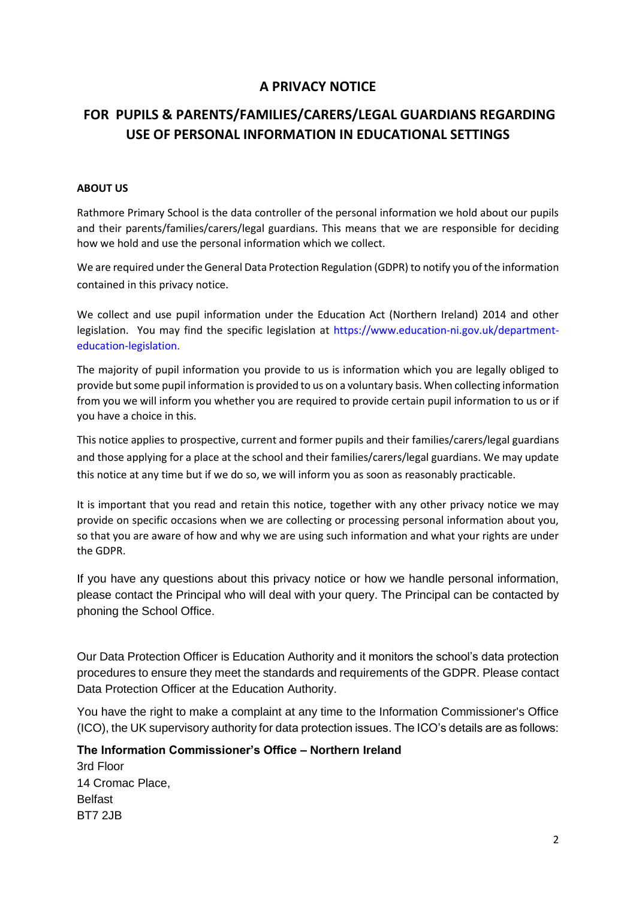## **A PRIVACY NOTICE**

## **FOR PUPILS & PARENTS/FAMILIES/CARERS/LEGAL GUARDIANS REGARDING USE OF PERSONAL INFORMATION IN EDUCATIONAL SETTINGS**

## **ABOUT US**

Rathmore Primary School is the data controller of the personal information we hold about our pupils and their parents/families/carers/legal guardians. This means that we are responsible for deciding how we hold and use the personal information which we collect.

We are required under the General Data Protection Regulation (GDPR) to notify you of the information contained in this privacy notice.

We collect and use pupil information under the Education Act (Northern Ireland) 2014 and other legislation. You may find the specific legislation at https://www.education-ni.gov.uk/departmenteducation-legislation.

The majority of pupil information you provide to us is information which you are legally obliged to provide but some pupil information is provided to us on a voluntary basis. When collecting information from you we will inform you whether you are required to provide certain pupil information to us or if you have a choice in this.

This notice applies to prospective, current and former pupils and their families/carers/legal guardians and those applying for a place at the school and their families/carers/legal guardians. We may update this notice at any time but if we do so, we will inform you as soon as reasonably practicable.

It is important that you read and retain this notice, together with any other privacy notice we may provide on specific occasions when we are collecting or processing personal information about you, so that you are aware of how and why we are using such information and what your rights are under the GDPR.

If you have any questions about this privacy notice or how we handle personal information, please contact the Principal who will deal with your query. The Principal can be contacted by phoning the School Office.

Our Data Protection Officer is Education Authority and it monitors the school's data protection procedures to ensure they meet the standards and requirements of the GDPR. Please contact Data Protection Officer at the Education Authority.

You have the right to make a complaint at any time to the Information Commissioner's Office (ICO), the UK supervisory authority for data protection issues. The ICO's details are as follows:

## **The Information Commissioner's Office – Northern Ireland**

3rd Floor 14 Cromac Place, Belfast BT7 2JB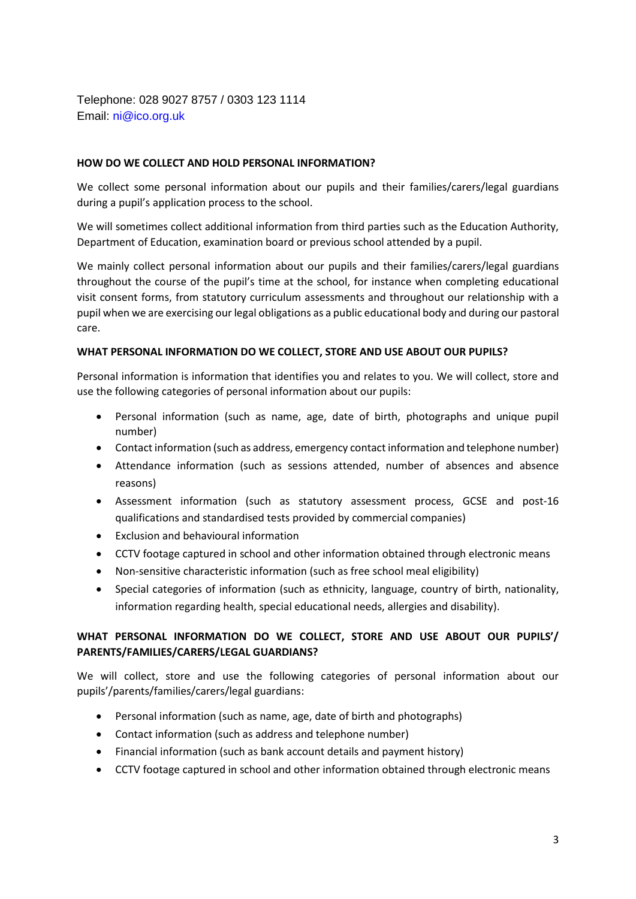Telephone: 028 9027 8757 / 0303 123 1114 Email: ni@ico.org.uk

## **HOW DO WE COLLECT AND HOLD PERSONAL INFORMATION?**

We collect some personal information about our pupils and their families/carers/legal guardians during a pupil's application process to the school.

We will sometimes collect additional information from third parties such as the Education Authority, Department of Education, examination board or previous school attended by a pupil.

We mainly collect personal information about our pupils and their families/carers/legal guardians throughout the course of the pupil's time at the school, for instance when completing educational visit consent forms, from statutory curriculum assessments and throughout our relationship with a pupil when we are exercising our legal obligations as a public educational body and during our pastoral care.

#### **WHAT PERSONAL INFORMATION DO WE COLLECT, STORE AND USE ABOUT OUR PUPILS?**

Personal information is information that identifies you and relates to you. We will collect, store and use the following categories of personal information about our pupils:

- Personal information (such as name, age, date of birth, photographs and unique pupil number)
- Contact information (such as address, emergency contact information and telephone number)
- Attendance information (such as sessions attended, number of absences and absence reasons)
- Assessment information (such as statutory assessment process, GCSE and post-16 qualifications and standardised tests provided by commercial companies)
- Exclusion and behavioural information
- CCTV footage captured in school and other information obtained through electronic means
- Non-sensitive characteristic information (such as free school meal eligibility)
- Special categories of information (such as ethnicity, language, country of birth, nationality, information regarding health, special educational needs, allergies and disability).

## **WHAT PERSONAL INFORMATION DO WE COLLECT, STORE AND USE ABOUT OUR PUPILS'/ PARENTS/FAMILIES/CARERS/LEGAL GUARDIANS?**

We will collect, store and use the following categories of personal information about our pupils'/parents/families/carers/legal guardians:

- Personal information (such as name, age, date of birth and photographs)
- Contact information (such as address and telephone number)
- Financial information (such as bank account details and payment history)
- CCTV footage captured in school and other information obtained through electronic means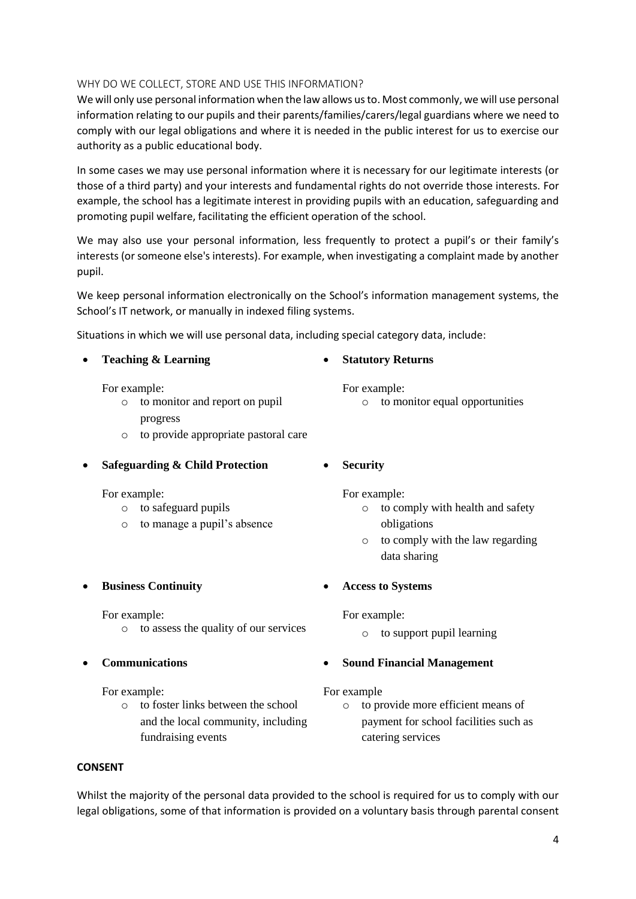# 4

## **CONSENT**

Whilst the majority of the personal data provided to the school is required for us to comply with our legal obligations, some of that information is provided on a voluntary basis through parental consent

For example:

**Communications**

- For example:
	- -

o to foster links between the school and the local community, including

fundraising events

- 
- 
- 
- 

o to manage a pupil's absence

- 
- o to assess the quality of our services
- **Business Continuity**

For example: o to safeguard pupils

- 
- 
- 
- 
- 
- 
- **Safeguarding & Child Protection**
- 

For example:

**Teaching & Learning**

progress

pupil.

For example:

- o to comply with health and safety obligations
- o to comply with the law regarding data sharing
- 
- **Access to Systems**

For example:

o to support pupil learning

# **Sound Financial Management**

# For example

o to provide more efficient means of payment for school facilities such as catering services

**Statutory Returns**

interests (or someone else's interests). For example, when investigating a complaint made by another We keep personal information electronically on the School's information management systems, the

those of a third party) and your interests and fundamental rights do not override those interests. For example, the school has a legitimate interest in providing pupils with an education, safeguarding and promoting pupil welfare, facilitating the efficient operation of the school. We may also use your personal information, less frequently to protect a pupil's or their family's

Situations in which we will use personal data, including special category data, include:

information relating to our pupils and their parents/families/carers/legal guardians where we need to comply with our legal obligations and where it is needed in the public interest for us to exercise our authority as a public educational body. In some cases we may use personal information where it is necessary for our legitimate interests (or

School's IT network, or manually in indexed filing systems.

o to monitor and report on pupil

For example:

- o to monitor equal opportunities
- o to provide appropriate pastoral care

**Security**

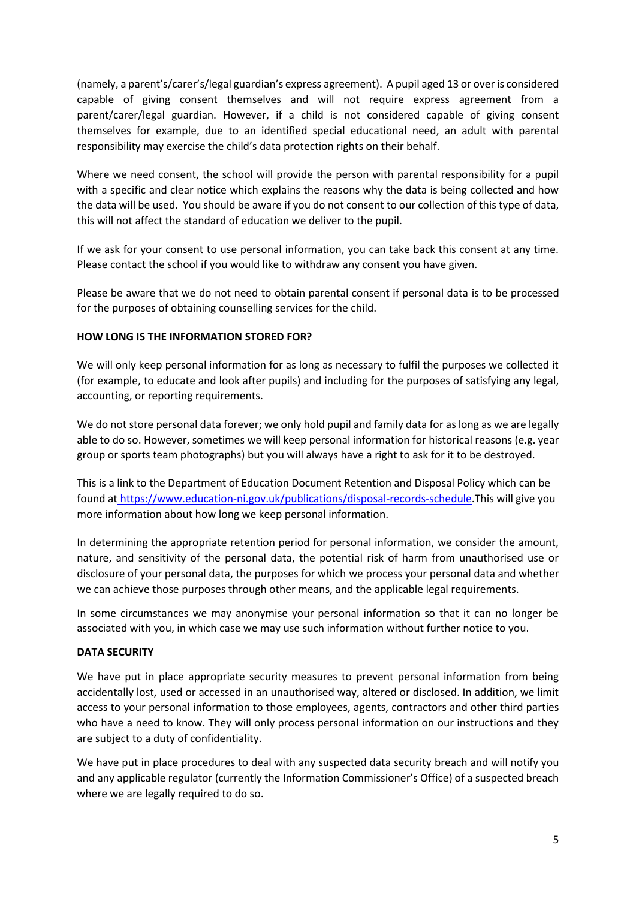(namely, a parent's/carer's/legal guardian's express agreement). A pupil aged 13 or over is considered capable of giving consent themselves and will not require express agreement from a parent/carer/legal guardian. However, if a child is not considered capable of giving consent themselves for example, due to an identified special educational need, an adult with parental responsibility may exercise the child's data protection rights on their behalf.

Where we need consent, the school will provide the person with parental responsibility for a pupil with a specific and clear notice which explains the reasons why the data is being collected and how the data will be used. You should be aware if you do not consent to our collection of this type of data, this will not affect the standard of education we deliver to the pupil.

If we ask for your consent to use personal information, you can take back this consent at any time. Please contact the school if you would like to withdraw any consent you have given.

Please be aware that we do not need to obtain parental consent if personal data is to be processed for the purposes of obtaining counselling services for the child.

## **HOW LONG IS THE INFORMATION STORED FOR?**

We will only keep personal information for as long as necessary to fulfil the purposes we collected it (for example, to educate and look after pupils) and including for the purposes of satisfying any legal, accounting, or reporting requirements.

We do not store personal data forever; we only hold pupil and family data for as long as we are legally able to do so. However, sometimes we will keep personal information for historical reasons (e.g. year group or sports team photographs) but you will always have a right to ask for it to be destroyed.

This is a link to the Department of Education Document Retention and Disposal Policy which can be found at [https://www.education-ni.gov.uk/publications/disposal-records-schedule.](https://www.education-ni.gov.uk/publications/disposal-records-schedule)This will give you more information about how long we keep personal information.

In determining the appropriate retention period for personal information, we consider the amount, nature, and sensitivity of the personal data, the potential risk of harm from unauthorised use or disclosure of your personal data, the purposes for which we process your personal data and whether we can achieve those purposes through other means, and the applicable legal requirements.

In some circumstances we may anonymise your personal information so that it can no longer be associated with you, in which case we may use such information without further notice to you.

## **DATA SECURITY**

We have put in place appropriate security measures to prevent personal information from being accidentally lost, used or accessed in an unauthorised way, altered or disclosed. In addition, we limit access to your personal information to those employees, agents, contractors and other third parties who have a need to know. They will only process personal information on our instructions and they are subject to a duty of confidentiality.

We have put in place procedures to deal with any suspected data security breach and will notify you and any applicable regulator (currently the Information Commissioner's Office) of a suspected breach where we are legally required to do so.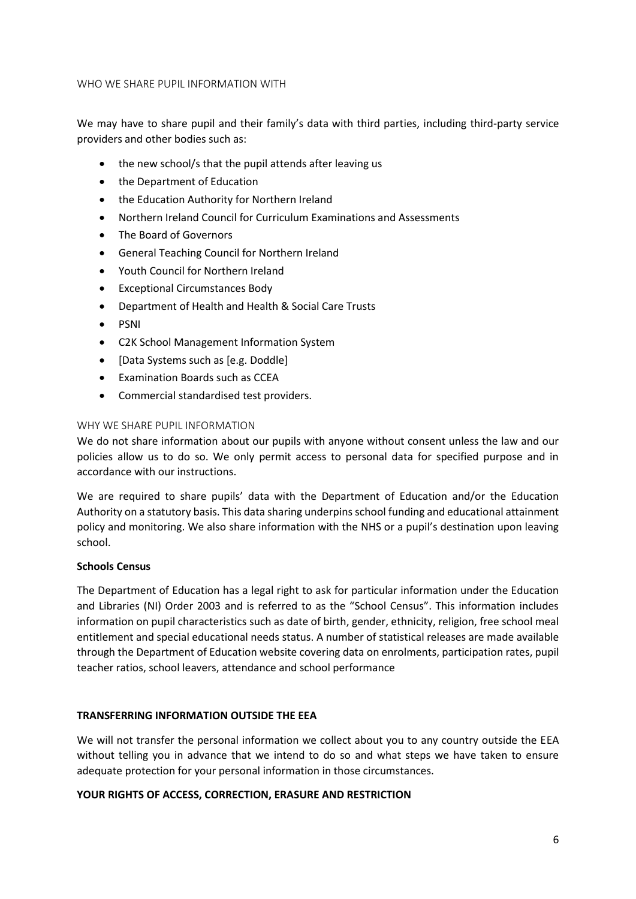### WHO WE SHARE PUPIL INFORMATION WITH

We may have to share pupil and their family's data with third parties, including third-party service providers and other bodies such as:

- the new school/s that the pupil attends after leaving us
- the Department of Education
- the Education Authority for Northern Ireland
- Northern Ireland Council for Curriculum Examinations and Assessments
- The Board of Governors
- General Teaching Council for Northern Ireland
- Youth Council for Northern Ireland
- Exceptional Circumstances Body
- Department of Health and Health & Social Care Trusts
- PSNI
- C2K School Management Information System
- [Data Systems such as [e.g. Doddle]
- Examination Boards such as CCEA
- Commercial standardised test providers.

### WHY WE SHARE PUPIL INFORMATION

We do not share information about our pupils with anyone without consent unless the law and our policies allow us to do so. We only permit access to personal data for specified purpose and in accordance with our instructions.

We are required to share pupils' data with the Department of Education and/or the Education Authority on a statutory basis. This data sharing underpins school funding and educational attainment policy and monitoring. We also share information with the NHS or a pupil's destination upon leaving school.

## **Schools Census**

The Department of Education has a legal right to ask for particular information under the Education and Libraries (NI) Order 2003 and is referred to as the "School Census". This information includes information on pupil characteristics such as date of birth, gender, ethnicity, religion, free school meal entitlement and special educational needs status. A number of statistical releases are made available through the Department of Education website covering data on enrolments, participation rates, pupil teacher ratios, school leavers, attendance and school performance

## **TRANSFERRING INFORMATION OUTSIDE THE EEA**

We will not transfer the personal information we collect about you to any country outside the EEA without telling you in advance that we intend to do so and what steps we have taken to ensure adequate protection for your personal information in those circumstances.

## **YOUR RIGHTS OF ACCESS, CORRECTION, ERASURE AND RESTRICTION**